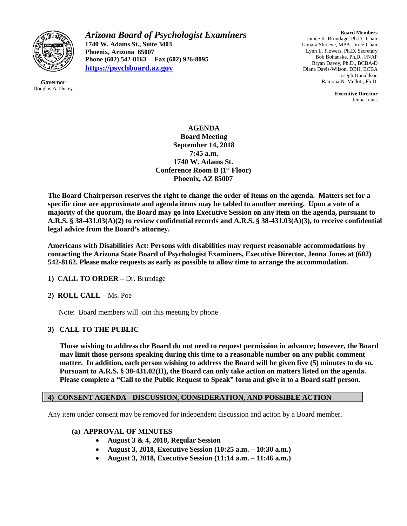

**Governor** Douglas A. Ducey *Arizona Board of Psychologist Examiners* **1740 W. Adams St., Suite 3403 Phoenix, Arizona 85007 Phone (602) 542-8163 Fax (602) 926-8095 [https://psychboard.az.gov](https://psychboard.az.gov/)**

**Board Members** Janice K. Brundage, Ph.D., Chair Tamara Shreeve, MPA., Vice-Chair Lynn L. Flowers, Ph.D. Secretary Bob Bohanske, Ph.D., FNAP Bryan Davey, Ph.D., BCBA-D Diana Davis-Wilson, DBH, BCBA Joseph Donaldson Ramona N. Mellott, Ph.D.

> **Executive Director** Jenna Jones

**AGENDA Board Meeting September 14, 2018 7:45 a.m. 1740 W. Adams St. Conference Room B (1st Floor) Phoenix, AZ 85007**

**The Board Chairperson reserves the right to change the order of items on the agenda. Matters set for a specific time are approximate and agenda items may be tabled to another meeting. Upon a vote of a majority of the quorum, the Board may go into Executive Session on any item on the agenda, pursuant to A.R.S. § 38-431.03(A)(2) to review confidential records and A.R.S. § 38-431.03(A)(3), to receive confidential legal advice from the Board's attorney.**

**Americans with Disabilities Act: Persons with disabilities may request reasonable accommodations by contacting the Arizona State Board of Psychologist Examiners, Executive Director, Jenna Jones at (602) 542-8162. Please make requests as early as possible to allow time to arrange the accommodation.**

**1) CALL TO ORDER** – Dr. Brundage

## **2) ROLL CALL** – Ms. Poe

Note: Board members will join this meeting by phone

## **3) CALL TO THE PUBLIC**

**Those wishing to address the Board do not need to request permission in advance; however, the Board may limit those persons speaking during this time to a reasonable number on any public comment matter. In addition, each person wishing to address the Board will be given five (5) minutes to do so. Pursuant to A.R.S. § 38-431.02(H), the Board can only take action on matters listed on the agenda. Please complete a "Call to the Public Request to Speak" form and give it to a Board staff person.**

#### **4) CONSENT AGENDA - DISCUSSION, CONSIDERATION, AND POSSIBLE ACTION**

Any item under consent may be removed for independent discussion and action by a Board member.

#### **(a) APPROVAL OF MINUTES**

- **August 3 & 4, 2018, Regular Session**
- **August 3, 2018, Executive Session (10:25 a.m. – 10:30 a.m.)**
- **August 3, 2018, Executive Session (11:14 a.m. – 11:46 a.m.)**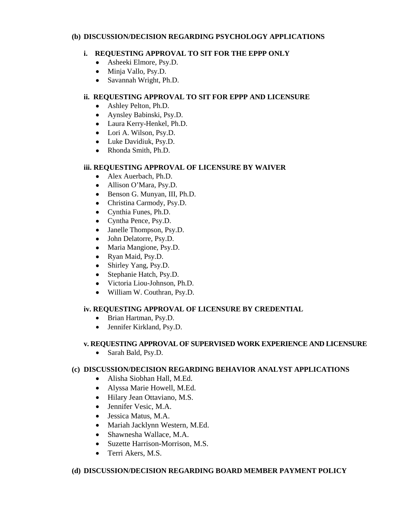### **(b) DISCUSSION/DECISION REGARDING PSYCHOLOGY APPLICATIONS**

# **i. REQUESTING APPROVAL TO SIT FOR THE EPPP ONLY**

- Asheeki Elmore, Psy.D.
- Minja Vallo, Psy.D.
- Savannah Wright, Ph.D.

## **ii. REQUESTING APPROVAL TO SIT FOR EPPP AND LICENSURE**

- Ashley Pelton, Ph.D.
- Aynsley Babinski, Psy.D.
- Laura Kerry-Henkel, Ph.D.
- Lori A. Wilson, Psy.D.
- Luke Davidiuk, Psy.D.
- Rhonda Smith, Ph.D.

## **iii. REQUESTING APPROVAL OF LICENSURE BY WAIVER**

- Alex Auerbach, Ph.D.
- Allison O'Mara, Psy.D.
- Benson G. Munyan, III, Ph.D.
- Christina Carmody, Psy.D.
- Cynthia Funes, Ph.D.
- Cyntha Pence, Psy.D.
- Janelle Thompson, Psy.D.
- John Delatorre, Psy.D.
- Maria Mangione, Psy.D.
- Ryan Maid, Psy.D.
- Shirley Yang, Psy.D.
- Stephanie Hatch, Psy.D.
- Victoria Liou-Johnson, Ph.D.
- William W. Couthran, Psy.D.

## **iv. REQUESTING APPROVAL OF LICENSURE BY CREDENTIAL**

- Brian Hartman, Psy.D.
- Jennifer Kirkland, Psy.D.

## **v. REQUESTING APPROVAL OF SUPERVISED WORK EXPERIENCE AND LICENSURE**

• Sarah Bald, Psy.D.

## **(c) DISCUSSION/DECISION REGARDING BEHAVIOR ANALYST APPLICATIONS**

- Alisha Siobhan Hall, M.Ed.
- Alyssa Marie Howell, M.Ed.
- Hilary Jean Ottaviano, M.S.
- Jennifer Vesic, M.A.
- Jessica Matus, M.A.
- Mariah Jacklynn Western, M.Ed.
- Shawnesha Wallace, M.A.
- Suzette Harrison-Morrison, M.S.
- Terri Akers, M.S.

## **(d) DISCUSSION/DECISION REGARDING BOARD MEMBER PAYMENT POLICY**